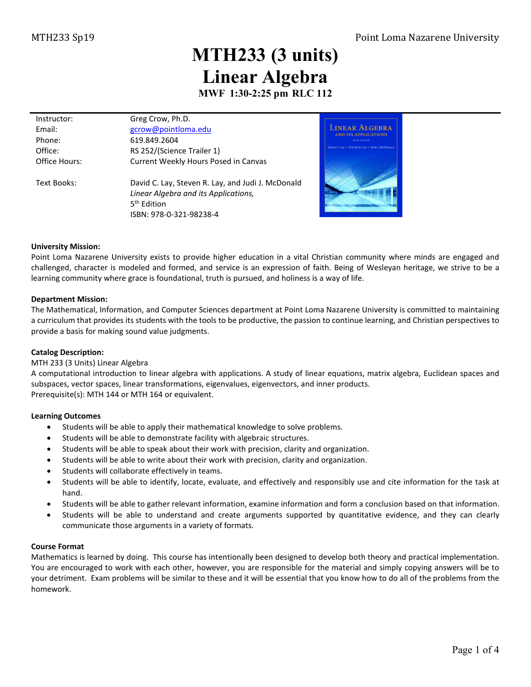# **MTH233 (3 units) Linear Algebra**

**MWF 1:30-2:25 pm RLC 112**

| Instructor:   | Greg Crow, Ph.D.                                  |
|---------------|---------------------------------------------------|
| Email:        | gcrow@pointloma.edu                               |
| Phone:        | 619.849.2604                                      |
| Office:       | RS 252/(Science Trailer 1)                        |
| Office Hours: | Current Weekly Hours Posed in Canvas              |
|               |                                                   |
| Text Books:   | David C. Lay, Steven R. Lay, and Judi J. McDonald |
|               | Linear Algebra and its Applications,              |
|               | 5 <sup>th</sup> Edition                           |

ISBN: 978-0-321-98238-4



#### **University Mission:**

Point Loma Nazarene University exists to provide higher education in a vital Christian community where minds are engaged and challenged, character is modeled and formed, and service is an expression of faith. Being of Wesleyan heritage, we strive to be a learning community where grace is foundational, truth is pursued, and holiness is a way of life.

#### **Department Mission:**

The Mathematical, Information, and Computer Sciences department at Point Loma Nazarene University is committed to maintaining a curriculum that provides its students with the tools to be productive, the passion to continue learning, and Christian perspectives to provide a basis for making sound value judgments.

#### **Catalog Description:**

#### MTH 233 (3 Units) Linear Algebra

A computational introduction to linear algebra with applications. A study of linear equations, matrix algebra, Euclidean spaces and subspaces, vector spaces, linear transformations, eigenvalues, eigenvectors, and inner products. Prerequisite(s): [MTH 144](http://catalog.pointloma.edu/content.php?filter%5B27%5D=MTH&filter%5B29%5D=363&filter%5Bcourse_type%5D=-1&filter%5Bkeyword%5D=&filter%5B32%5D=1&filter%5Bcpage%5D=1&cur_cat_oid=24&expand=&navoid=1590&search_database=Filter#tt1159) o[r MTH 164](http://catalog.pointloma.edu/content.php?filter%5B27%5D=MTH&filter%5B29%5D=363&filter%5Bcourse_type%5D=-1&filter%5Bkeyword%5D=&filter%5B32%5D=1&filter%5Bcpage%5D=1&cur_cat_oid=24&expand=&navoid=1590&search_database=Filter#tt237) or equivalent.

#### **Learning Outcomes**

- Students will be able to apply their mathematical knowledge to solve problems.
- Students will be able to demonstrate facility with algebraic structures.
- Students will be able to speak about their work with precision, clarity and organization.
- Students will be able to write about their work with precision, clarity and organization.
- Students will collaborate effectively in teams.
- Students will be able to identify, locate, evaluate, and effectively and responsibly use and cite information for the task at hand.
- Students will be able to gather relevant information, examine information and form a conclusion based on that information.
- Students will be able to understand and create arguments supported by quantitative evidence, and they can clearly communicate those arguments in a variety of formats.

#### **Course Format**

Mathematics is learned by doing. This course has intentionally been designed to develop both theory and practical implementation. You are encouraged to work with each other, however, you are responsible for the material and simply copying answers will be to your detriment. Exam problems will be similar to these and it will be essential that you know how to do all of the problems from the homework.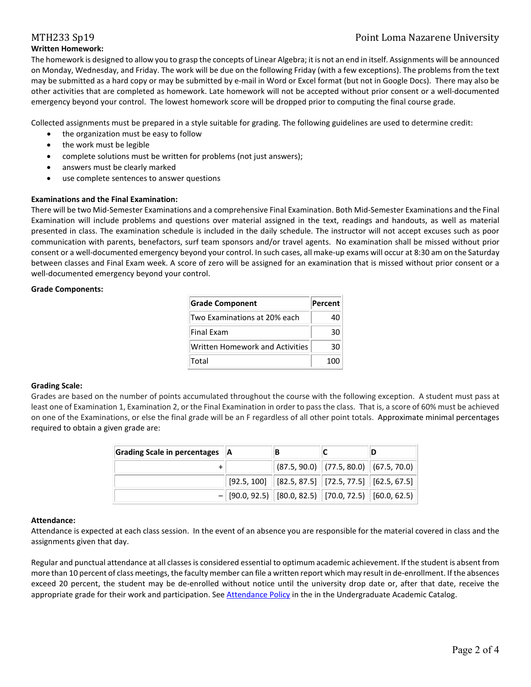## MTH233 Sp19 Point Loma Nazarene University

## **Written Homework:**

The homework is designed to allow you to grasp the concepts of Linear Algebra; it is not an end in itself. Assignments will be announced on Monday, Wednesday, and Friday. The work will be due on the following Friday (with a few exceptions). The problems from the text may be submitted as a hard copy or may be submitted by e-mail in Word or Excel format (but not in Google Docs). There may also be other activities that are completed as homework. Late homework will not be accepted without prior consent or a well-documented emergency beyond your control. The lowest homework score will be dropped prior to computing the final course grade.

Collected assignments must be prepared in a style suitable for grading. The following guidelines are used to determine credit:

- the organization must be easy to follow
- the work must be legible
- complete solutions must be written for problems (not just answers);
- answers must be clearly marked
- use complete sentences to answer questions

### **Examinations and the Final Examination:**

There will be two Mid-Semester Examinations and a comprehensive Final Examination. Both Mid-Semester Examinations and the Final Examination will include problems and questions over material assigned in the text, readings and handouts, as well as material presented in class. The examination schedule is included in the daily schedule. The instructor will not accept excuses such as poor communication with parents, benefactors, surf team sponsors and/or travel agents. No examination shall be missed without prior consent or a well-documented emergency beyond your control. In such cases, all make-up exams will occur at 8:30 am on the Saturday between classes and Final Exam week. A score of zero will be assigned for an examination that is missed without prior consent or a well-documented emergency beyond your control.

#### **Grade Components:**

| <b>Grade Component</b>          | Percent |
|---------------------------------|---------|
| Two Examinations at 20% each    | 40      |
| Final Exam                      | 30      |
| Written Homework and Activities | 30      |
| Total                           | 100     |

#### **Grading Scale:**

Grades are based on the number of points accumulated throughout the course with the following exception. A student must pass at least one of Examination 1, Examination 2, or the Final Examination in order to pass the class. That is, a score of 60% must be achieved on one of the Examinations, or else the final grade will be an F regardless of all other point totals. Approximate minimal percentages required to obtain a given grade are:

| Grading Scale in percentages   A |                                                         | в                                                                              |  |
|----------------------------------|---------------------------------------------------------|--------------------------------------------------------------------------------|--|
|                                  |                                                         | $ (87.5, 90.0) $ (77.5, 80.0) (67.5, 70.0)                                     |  |
|                                  |                                                         | $\mid$ [92.5, 100] $\mid$ [82.5, 87.5] $\mid$ [72.5, 77.5] $\mid$ [62.5, 67.5] |  |
|                                  | $-$ [90.0, 92.5) [80.0, 82.5) [70.0, 72.5) [60.0, 62.5) |                                                                                |  |

#### **Attendance:**

Attendance is expected at each class session. In the event of an absence you are responsible for the material covered in class and the assignments given that day.

Regular and punctual attendance at all classes is considered essential to optimum academic achievement. If the student is absent from more than 10 percent of class meetings, the faculty member can file a written report which may result in de-enrollment. If the absences exceed 20 percent, the student may be de-enrolled without notice until the university drop date or, after that date, receive the appropriate grade for their work and participation. Se[e Attendance Policy](https://catalog.pointloma.edu/content.php?catoid=28&navoid=1761#Class_Attendance) in the in the Undergraduate Academic Catalog.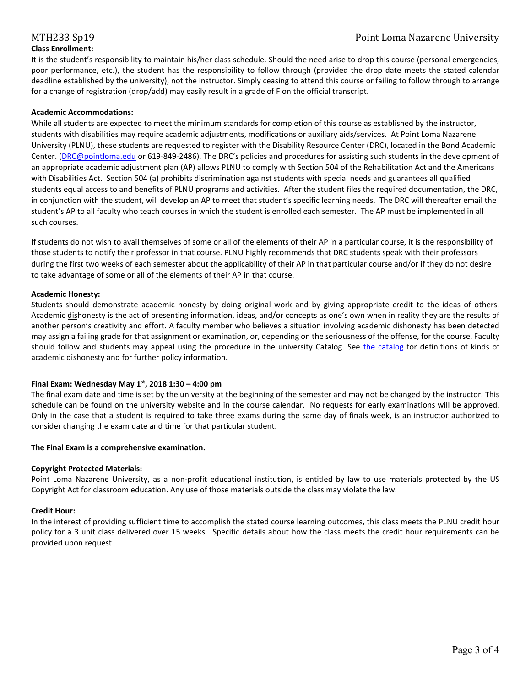#### **Class Enrollment:**

It is the student's responsibility to maintain his/her class schedule. Should the need arise to drop this course (personal emergencies, poor performance, etc.), the student has the responsibility to follow through (provided the drop date meets the stated calendar deadline established by the university), not the instructor. Simply ceasing to attend this course or failing to follow through to arrange for a change of registration (drop/add) may easily result in a grade of F on the official transcript.

### **Academic Accommodations:**

While all students are expected to meet the minimum standards for completion of this course as established by the instructor, students with disabilities may require academic adjustments, modifications or auxiliary aids/services. At Point Loma Nazarene University (PLNU), these students are requested to register with the Disability Resource Center (DRC), located in the Bond Academic Center. [\(DRC@pointloma.edu](mailto:DRC@pointloma.edu) or 619-849-2486). The DRC's policies and procedures for assisting such students in the development of an appropriate academic adjustment plan (AP) allows PLNU to comply with Section 504 of the Rehabilitation Act and the Americans with Disabilities Act. Section 504 (a) prohibits discrimination against students with special needs and guarantees all qualified students equal access to and benefits of PLNU programs and activities. After the student files the required documentation, the DRC, in conjunction with the student, will develop an AP to meet that student's specific learning needs. The DRC will thereafter email the student's AP to all faculty who teach courses in which the student is enrolled each semester. The AP must be implemented in all such courses.

If students do not wish to avail themselves of some or all of the elements of their AP in a particular course, it is the responsibility of those students to notify their professor in that course. PLNU highly recommends that DRC students speak with their professors during the first two weeks of each semester about the applicability of their AP in that particular course and/or if they do not desire to take advantage of some or all of the elements of their AP in that course.

### **Academic Honesty:**

Students should demonstrate academic honesty by doing original work and by giving appropriate credit to the ideas of others. Academic dishonesty is the act of presenting information, ideas, and/or concepts as one's own when in reality they are the results of another person's creativity and effort. A faculty member who believes a situation involving academic dishonesty has been detected may assign a failing grade for that assignment or examination, or, depending on the seriousness of the offense, for the course. Faculty should follow and students may appeal using the procedure in the university Catalog. See [the catalog](https://catalog.pointloma.edu/content.php?catoid=28&navoid=1761#Academic_Honesty) for definitions of kinds of academic dishonesty and for further policy information.

#### **Final Exam: Wednesday May 1st, 2018 1:30 – 4:00 pm**

The final exam date and time is set by the university at the beginning of the semester and may not be changed by the instructor. This schedule can be found on the university website and in the course calendar. No requests for early examinations will be approved. Only in the case that a student is required to take three exams during the same day of finals week, is an instructor authorized to consider changing the exam date and time for that particular student.

#### **The Final Exam is a comprehensive examination.**

#### **Copyright Protected Materials:**

Point Loma Nazarene University, as a non-profit educational institution, is entitled by law to use materials protected by the US Copyright Act for classroom education. Any use of those materials outside the class may violate the law.

#### **Credit Hour:**

In the interest of providing sufficient time to accomplish the stated course learning outcomes, this class meets the PLNU credit hour policy for a 3 unit class delivered over 15 weeks. Specific details about how the class meets the credit hour requirements can be provided upon request.